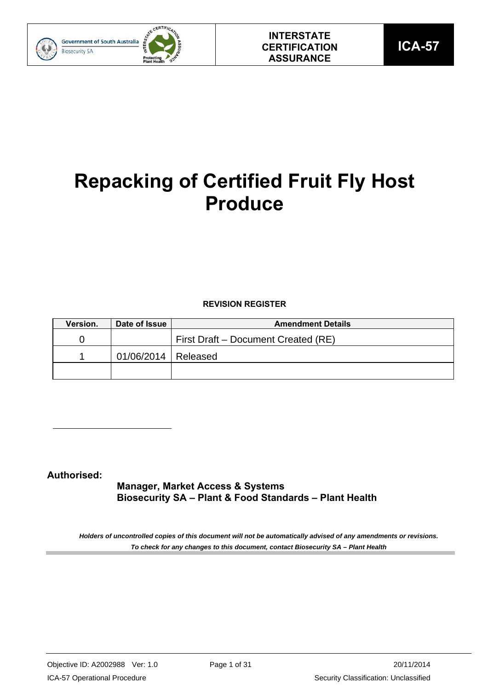

# **Repacking of Certified Fruit Fly Host Produce**

## **REVISION REGISTER**

| Version. | Date of Issue         | <b>Amendment Details</b>            |
|----------|-----------------------|-------------------------------------|
|          |                       | First Draft – Document Created (RE) |
|          | 01/06/2014   Released |                                     |
|          |                       |                                     |

## **Authorised:**

**Manager, Market Access & Systems Biosecurity SA – Plant & Food Standards – Plant Health**

*Holders of uncontrolled copies of this document will not be automatically advised of any amendments or revisions. To check for any changes to this document, contact Biosecurity SA – Plant Health*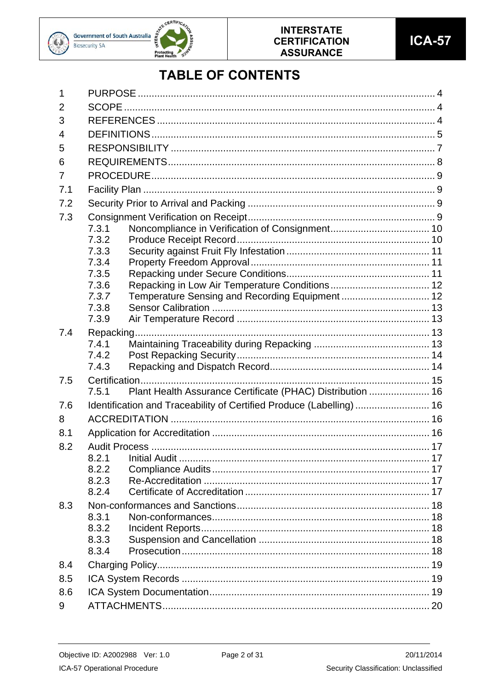



## **TABLE OF CONTENTS**

| 2                                                                           |  |
|-----------------------------------------------------------------------------|--|
|                                                                             |  |
| 3                                                                           |  |
| 4                                                                           |  |
| 5                                                                           |  |
| 6                                                                           |  |
| $\overline{7}$                                                              |  |
| 7.1                                                                         |  |
| 7.2                                                                         |  |
| 7.3                                                                         |  |
| 7.3.1                                                                       |  |
| 7.3.2                                                                       |  |
| 7.3.3                                                                       |  |
| 7.3.4                                                                       |  |
| 7.3.5                                                                       |  |
| 7.3.6                                                                       |  |
| 7.3.7<br>Temperature Sensing and Recording Equipment  12                    |  |
| 7.3.8                                                                       |  |
| 7.3.9                                                                       |  |
| 7.4                                                                         |  |
| 7.4.1                                                                       |  |
| 7.4.2                                                                       |  |
| 7.4.3                                                                       |  |
| 7.5                                                                         |  |
| Plant Health Assurance Certificate (PHAC) Distribution  16<br>7.5.1         |  |
| Identification and Traceability of Certified Produce (Labelling)  16<br>7.6 |  |
| 8                                                                           |  |
| 8.1                                                                         |  |
| 8.2                                                                         |  |
| 8.2.1                                                                       |  |
| 8.2.2                                                                       |  |
| 8.2.3                                                                       |  |
| 8.2.4                                                                       |  |
| 8.3                                                                         |  |
| 8.3.1                                                                       |  |
| 8.3.2                                                                       |  |
| 8.3.3                                                                       |  |
| 8.3.4                                                                       |  |
| 8.4                                                                         |  |
| 8.5                                                                         |  |
| 8.6                                                                         |  |
| 9                                                                           |  |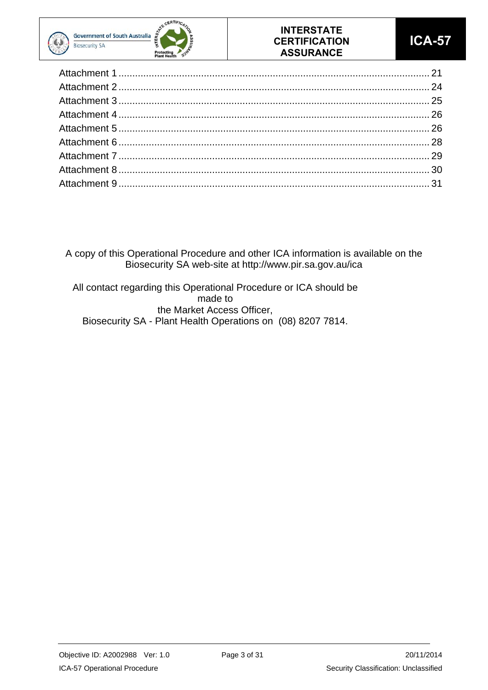



A copy of this Operational Procedure and other ICA information is available on the Biosecurity SA web-site at http://www.pir.sa.gov.au/ica

All contact regarding this Operational Procedure or ICA should be made to the Market Access Officer, Biosecurity SA - Plant Health Operations on (08) 8207 7814.

Objective ID: A2002988 Ver: 1.0 Page 3 of 31 20/11/2014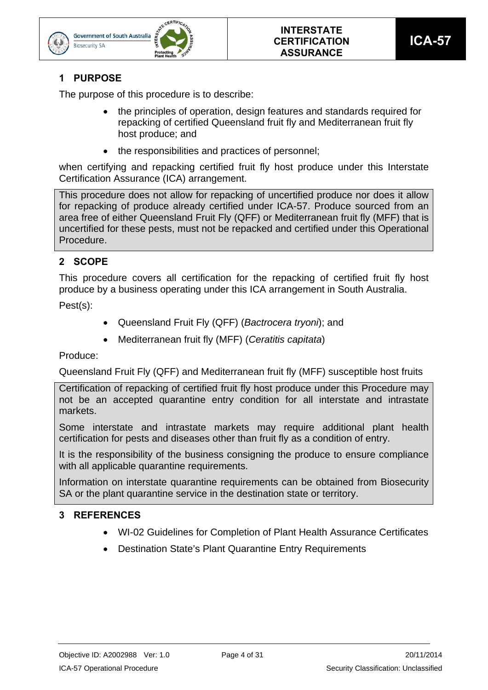



## **1 PURPOSE**

**Biosecurity SA** 

The purpose of this procedure is to describe:

- the principles of operation, design features and standards required for repacking of certified Queensland fruit fly and Mediterranean fruit fly host produce; and
- the responsibilities and practices of personnel;

when certifying and repacking certified fruit fly host produce under this Interstate Certification Assurance (ICA) arrangement.

This procedure does not allow for repacking of uncertified produce nor does it allow for repacking of produce already certified under ICA-57. Produce sourced from an area free of either Queensland Fruit Fly (QFF) or Mediterranean fruit fly (MFF) that is uncertified for these pests, must not be repacked and certified under this Operational Procedure.

## **2 SCOPE**

This procedure covers all certification for the repacking of certified fruit fly host produce by a business operating under this ICA arrangement in South Australia.

Pest(s):

- Queensland Fruit Fly (QFF) (*Bactrocera tryoni*); and
- Mediterranean fruit fly (MFF) (*Ceratitis capitata*)

Produce:

Queensland Fruit Fly (QFF) and Mediterranean fruit fly (MFF) susceptible host fruits

Certification of repacking of certified fruit fly host produce under this Procedure may not be an accepted quarantine entry condition for all interstate and intrastate markets.

Some interstate and intrastate markets may require additional plant health certification for pests and diseases other than fruit fly as a condition of entry.

It is the responsibility of the business consigning the produce to ensure compliance with all applicable quarantine requirements.

Information on interstate quarantine requirements can be obtained from Biosecurity SA or the plant quarantine service in the destination state or territory.

## **3 REFERENCES**

- WI-02 Guidelines for Completion of Plant Health Assurance Certificates
- Destination State's Plant Quarantine Entry Requirements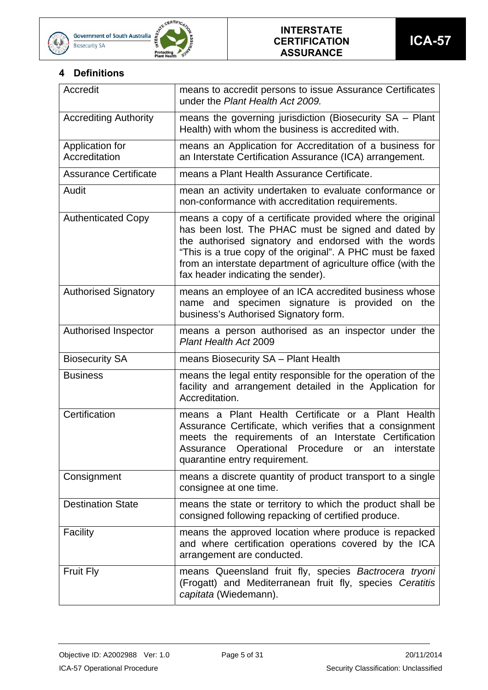





## **4 Definitions**

| Accredit                         | means to accredit persons to issue Assurance Certificates<br>under the Plant Health Act 2009.                                                                                                                                                                                                                                                 |
|----------------------------------|-----------------------------------------------------------------------------------------------------------------------------------------------------------------------------------------------------------------------------------------------------------------------------------------------------------------------------------------------|
| <b>Accrediting Authority</b>     | means the governing jurisdiction (Biosecurity SA - Plant<br>Health) with whom the business is accredited with.                                                                                                                                                                                                                                |
| Application for<br>Accreditation | means an Application for Accreditation of a business for<br>an Interstate Certification Assurance (ICA) arrangement.                                                                                                                                                                                                                          |
| <b>Assurance Certificate</b>     | means a Plant Health Assurance Certificate.                                                                                                                                                                                                                                                                                                   |
| Audit                            | mean an activity undertaken to evaluate conformance or<br>non-conformance with accreditation requirements.                                                                                                                                                                                                                                    |
| <b>Authenticated Copy</b>        | means a copy of a certificate provided where the original<br>has been lost. The PHAC must be signed and dated by<br>the authorised signatory and endorsed with the words<br>"This is a true copy of the original". A PHC must be faxed<br>from an interstate department of agriculture office (with the<br>fax header indicating the sender). |
| <b>Authorised Signatory</b>      | means an employee of an ICA accredited business whose<br>name and specimen signature is provided on the<br>business's Authorised Signatory form.                                                                                                                                                                                              |
| Authorised Inspector             | means a person authorised as an inspector under the<br>Plant Health Act 2009                                                                                                                                                                                                                                                                  |
| <b>Biosecurity SA</b>            | means Biosecurity SA - Plant Health                                                                                                                                                                                                                                                                                                           |
| <b>Business</b>                  | means the legal entity responsible for the operation of the<br>facility and arrangement detailed in the Application for<br>Accreditation.                                                                                                                                                                                                     |
| Certification                    | means a Plant Health Certificate or a Plant Health<br>Assurance Certificate, which verifies that a consignment<br>meets the requirements of an Interstate Certification<br>Assurance<br>Operational Procedure or an interstate<br>quarantine entry requirement.                                                                               |
| Consignment                      | means a discrete quantity of product transport to a single<br>consignee at one time.                                                                                                                                                                                                                                                          |
| <b>Destination State</b>         | means the state or territory to which the product shall be<br>consigned following repacking of certified produce.                                                                                                                                                                                                                             |
| Facility                         | means the approved location where produce is repacked<br>and where certification operations covered by the ICA<br>arrangement are conducted.                                                                                                                                                                                                  |
| <b>Fruit Fly</b>                 | means Queensland fruit fly, species Bactrocera tryoni<br>(Frogatt) and Mediterranean fruit fly, species Ceratitis<br>capitata (Wiedemann).                                                                                                                                                                                                    |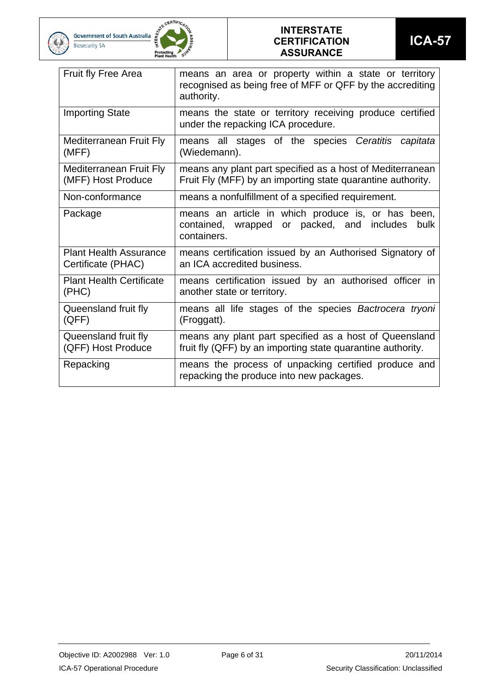





| <b>Fruit fly Free Area</b>      | means an area or property within a state or territory<br>recognised as being free of MFF or QFF by the accrediting<br>authority. |  |  |  |  |  |  |  |  |
|---------------------------------|----------------------------------------------------------------------------------------------------------------------------------|--|--|--|--|--|--|--|--|
| <b>Importing State</b>          | means the state or territory receiving produce certified<br>under the repacking ICA procedure.                                   |  |  |  |  |  |  |  |  |
| <b>Mediterranean Fruit Fly</b>  | means all stages of the species Ceratitis capitata                                                                               |  |  |  |  |  |  |  |  |
| (MFF)                           | (Wiedemann).                                                                                                                     |  |  |  |  |  |  |  |  |
| Mediterranean Fruit Fly         | means any plant part specified as a host of Mediterranean                                                                        |  |  |  |  |  |  |  |  |
| (MFF) Host Produce              | Fruit Fly (MFF) by an importing state quarantine authority.                                                                      |  |  |  |  |  |  |  |  |
| Non-conformance                 | means a nonfulfillment of a specified requirement.                                                                               |  |  |  |  |  |  |  |  |
| Package                         | means an article in which produce is, or has been,<br>or packed, and includes<br>contained, wrapped<br>bulk<br>containers.       |  |  |  |  |  |  |  |  |
| <b>Plant Health Assurance</b>   | means certification issued by an Authorised Signatory of                                                                         |  |  |  |  |  |  |  |  |
| Certificate (PHAC)              | an ICA accredited business.                                                                                                      |  |  |  |  |  |  |  |  |
| <b>Plant Health Certificate</b> | means certification issued by an authorised officer in                                                                           |  |  |  |  |  |  |  |  |
| (PHC)                           | another state or territory.                                                                                                      |  |  |  |  |  |  |  |  |
| Queensland fruit fly            | means all life stages of the species Bactrocera tryoni                                                                           |  |  |  |  |  |  |  |  |
| (QFF)                           | (Froggatt).                                                                                                                      |  |  |  |  |  |  |  |  |
| Queensland fruit fly            | means any plant part specified as a host of Queensland                                                                           |  |  |  |  |  |  |  |  |
| (QFF) Host Produce              | fruit fly (QFF) by an importing state quarantine authority.                                                                      |  |  |  |  |  |  |  |  |
| Repacking                       | means the process of unpacking certified produce and<br>repacking the produce into new packages.                                 |  |  |  |  |  |  |  |  |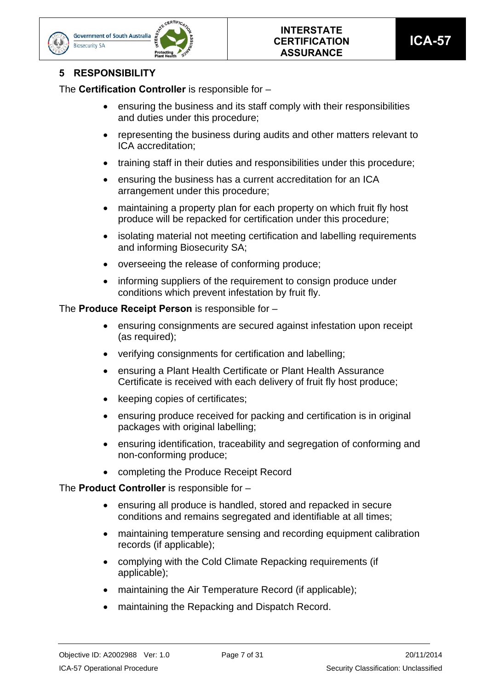



## **5 RESPONSIBILITY**

**Biosecurity SA** 

The **Certification Controller** is responsible for –

- ensuring the business and its staff comply with their responsibilities and duties under this procedure;
- representing the business during audits and other matters relevant to ICA accreditation;
- training staff in their duties and responsibilities under this procedure;
- ensuring the business has a current accreditation for an ICA arrangement under this procedure;
- maintaining a property plan for each property on which fruit fly host produce will be repacked for certification under this procedure;
- isolating material not meeting certification and labelling requirements and informing Biosecurity SA;
- overseeing the release of conforming produce;
- informing suppliers of the requirement to consign produce under conditions which prevent infestation by fruit fly.

The **Produce Receipt Person** is responsible for –

- ensuring consignments are secured against infestation upon receipt (as required);
- verifying consignments for certification and labelling;
- ensuring a Plant Health Certificate or Plant Health Assurance Certificate is received with each delivery of fruit fly host produce;
- keeping copies of certificates;
- ensuring produce received for packing and certification is in original packages with original labelling;
- ensuring identification, traceability and segregation of conforming and non-conforming produce;
- completing the Produce Receipt Record

The **Product Controller** is responsible for –

- ensuring all produce is handled, stored and repacked in secure conditions and remains segregated and identifiable at all times;
- maintaining temperature sensing and recording equipment calibration records (if applicable);
- complying with the Cold Climate Repacking requirements (if applicable);
- maintaining the Air Temperature Record (if applicable):
- maintaining the Repacking and Dispatch Record.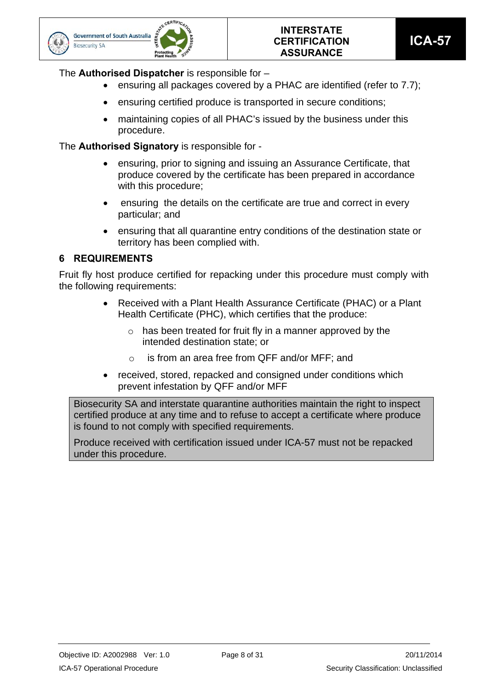



## The **Authorised Dispatcher** is responsible for –

- ensuring all packages covered by a PHAC are identified (refer to 7.7);
- ensuring certified produce is transported in secure conditions;
- maintaining copies of all PHAC's issued by the business under this procedure.

The **Authorised Signatory** is responsible for -

- ensuring, prior to signing and issuing an Assurance Certificate, that produce covered by the certificate has been prepared in accordance with this procedure;
- ensuring the details on the certificate are true and correct in every particular; and
- ensuring that all quarantine entry conditions of the destination state or territory has been complied with.

## **6 REQUIREMENTS**

Fruit fly host produce certified for repacking under this procedure must comply with the following requirements:

- Received with a Plant Health Assurance Certificate (PHAC) or a Plant Health Certificate (PHC), which certifies that the produce:
	- $\circ$  has been treated for fruit fly in a manner approved by the intended destination state; or
	- o is from an area free from QFF and/or MFF; and
- received, stored, repacked and consigned under conditions which prevent infestation by QFF and/or MFF

Biosecurity SA and interstate quarantine authorities maintain the right to inspect certified produce at any time and to refuse to accept a certificate where produce is found to not comply with specified requirements.

Produce received with certification issued under ICA-57 must not be repacked under this procedure.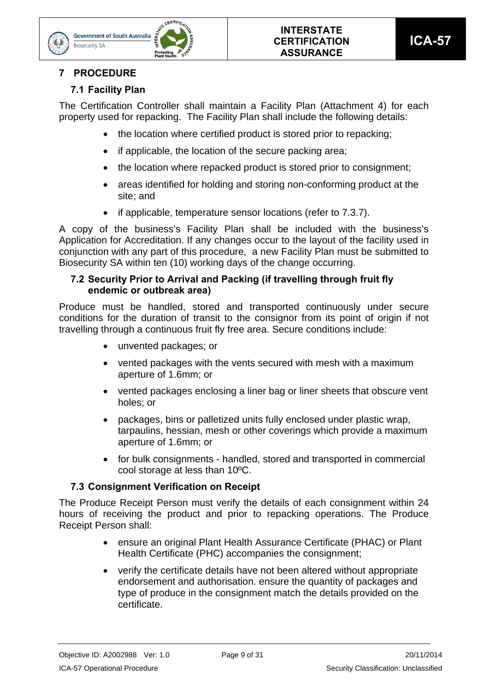

## **7 PROCEDURE**

**Biosecurity SA** 

## **7.1 Facility Plan**

The Certification Controller shall maintain a Facility Plan (Attachment 4) for each property used for repacking. The Facility Plan shall include the following details:

- the location where certified product is stored prior to repacking;
- if applicable, the location of the secure packing area;
- the location where repacked product is stored prior to consignment:
- areas identified for holding and storing non-conforming product at the site; and
- if applicable, temperature sensor locations (refer to 7.3.7).

A copy of the business's Facility Plan shall be included with the business's Application for Accreditation. If any changes occur to the layout of the facility used in conjunction with any part of this procedure, a new Facility Plan must be submitted to Biosecurity SA within ten (10) working days of the change occurring.

## **7.2 Security Prior to Arrival and Packing (if travelling through fruit fly endemic or outbreak area)**

Produce must be handled, stored and transported continuously under secure conditions for the duration of transit to the consignor from its point of origin if not travelling through a continuous fruit fly free area. Secure conditions include:

- unvented packages; or
- vented packages with the vents secured with mesh with a maximum aperture of 1.6mm; or
- vented packages enclosing a liner bag or liner sheets that obscure vent holes; or
- packages, bins or palletized units fully enclosed under plastic wrap, tarpaulins, hessian, mesh or other coverings which provide a maximum aperture of 1.6mm; or
- for bulk consignments handled, stored and transported in commercial cool storage at less than 10ºC.

## **7.3 Consignment Verification on Receipt**

The Produce Receipt Person must verify the details of each consignment within 24 hours of receiving the product and prior to repacking operations. The Produce Receipt Person shall:

- ensure an original Plant Health Assurance Certificate (PHAC) or Plant Health Certificate (PHC) accompanies the consignment;
- verify the certificate details have not been altered without appropriate endorsement and authorisation. ensure the quantity of packages and type of produce in the consignment match the details provided on the certificate.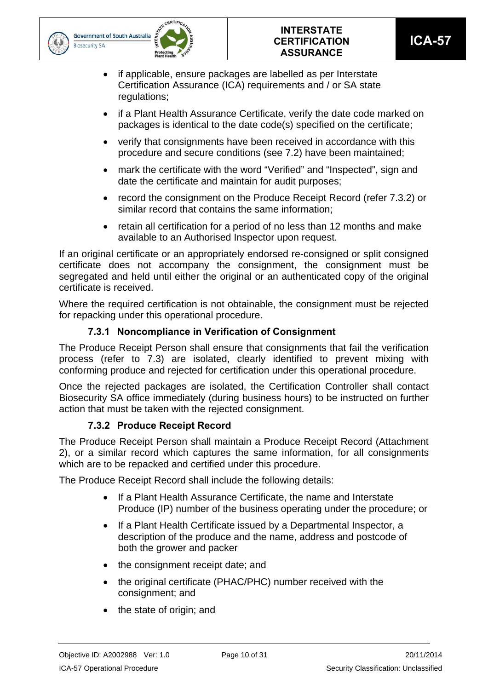



- if applicable, ensure packages are labelled as per Interstate Certification Assurance (ICA) requirements and / or SA state regulations;
- if a Plant Health Assurance Certificate, verify the date code marked on packages is identical to the date code(s) specified on the certificate;
- verify that consignments have been received in accordance with this procedure and secure conditions (see 7.2) have been maintained;
- mark the certificate with the word "Verified" and "Inspected", sign and date the certificate and maintain for audit purposes;
- record the consignment on the Produce Receipt Record (refer 7.3.2) or similar record that contains the same information;
- retain all certification for a period of no less than 12 months and make available to an Authorised Inspector upon request.

If an original certificate or an appropriately endorsed re-consigned or split consigned certificate does not accompany the consignment, the consignment must be segregated and held until either the original or an authenticated copy of the original certificate is received.

Where the required certification is not obtainable, the consignment must be rejected for repacking under this operational procedure.

## **7.3.1 Noncompliance in Verification of Consignment**

The Produce Receipt Person shall ensure that consignments that fail the verification process (refer to 7.3) are isolated, clearly identified to prevent mixing with conforming produce and rejected for certification under this operational procedure.

Once the rejected packages are isolated, the Certification Controller shall contact Biosecurity SA office immediately (during business hours) to be instructed on further action that must be taken with the rejected consignment.

## **7.3.2 Produce Receipt Record**

The Produce Receipt Person shall maintain a Produce Receipt Record (Attachment 2), or a similar record which captures the same information, for all consignments which are to be repacked and certified under this procedure.

The Produce Receipt Record shall include the following details:

- If a Plant Health Assurance Certificate, the name and Interstate Produce (IP) number of the business operating under the procedure; or
- If a Plant Health Certificate issued by a Departmental Inspector, a description of the produce and the name, address and postcode of both the grower and packer
- the consignment receipt date; and
- the original certificate (PHAC/PHC) number received with the consignment; and
- the state of origin; and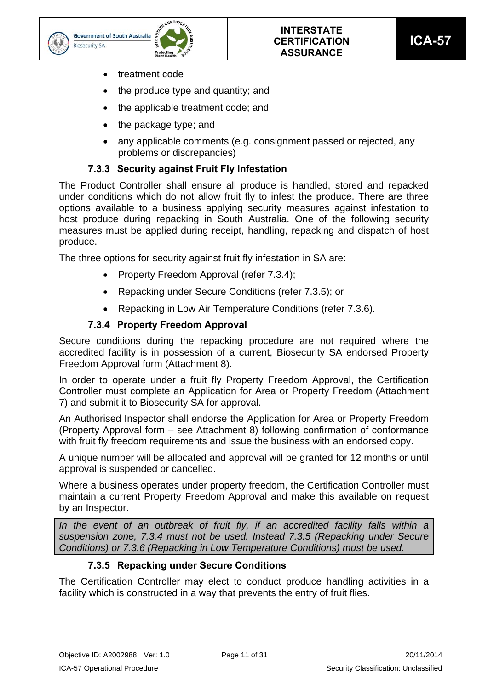



- treatment code
- $\bullet$  the produce type and quantity; and
- the applicable treatment code; and
- the package type: and
- any applicable comments (e.g. consignment passed or rejected, any problems or discrepancies)

## **7.3.3 Security against Fruit Fly Infestation**

The Product Controller shall ensure all produce is handled, stored and repacked under conditions which do not allow fruit fly to infest the produce. There are three options available to a business applying security measures against infestation to host produce during repacking in South Australia. One of the following security measures must be applied during receipt, handling, repacking and dispatch of host produce.

The three options for security against fruit fly infestation in SA are:

- Property Freedom Approval (refer 7.3.4);
- Repacking under Secure Conditions (refer 7.3.5); or
- Repacking in Low Air Temperature Conditions (refer 7.3.6).

## **7.3.4 Property Freedom Approval**

Secure conditions during the repacking procedure are not required where the accredited facility is in possession of a current, Biosecurity SA endorsed Property Freedom Approval form (Attachment 8).

In order to operate under a fruit fly Property Freedom Approval, the Certification Controller must complete an Application for Area or Property Freedom (Attachment 7) and submit it to Biosecurity SA for approval.

An Authorised Inspector shall endorse the Application for Area or Property Freedom (Property Approval form – see Attachment 8) following confirmation of conformance with fruit fly freedom requirements and issue the business with an endorsed copy.

A unique number will be allocated and approval will be granted for 12 months or until approval is suspended or cancelled.

Where a business operates under property freedom, the Certification Controller must maintain a current Property Freedom Approval and make this available on request by an Inspector.

In the event of an outbreak of fruit fly, if an accredited facility falls within a *suspension zone, 7.3.4 must not be used. Instead 7.3.5 (Repacking under Secure Conditions) or 7.3.6 (Repacking in Low Temperature Conditions) must be used.* 

## **7.3.5 Repacking under Secure Conditions**

The Certification Controller may elect to conduct produce handling activities in a facility which is constructed in a way that prevents the entry of fruit flies.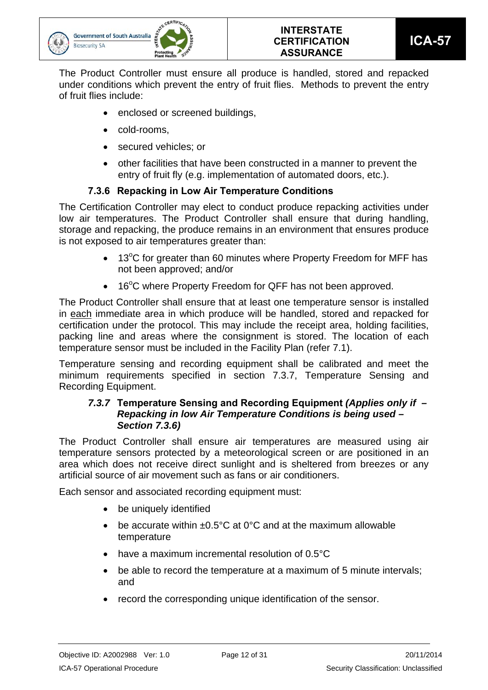

The Product Controller must ensure all produce is handled, stored and repacked under conditions which prevent the entry of fruit flies. Methods to prevent the entry of fruit flies include:

- enclosed or screened buildings,
- cold-rooms,
- secured vehicles; or
- other facilities that have been constructed in a manner to prevent the entry of fruit fly (e.g. implementation of automated doors, etc.).

## **7.3.6 Repacking in Low Air Temperature Conditions**

The Certification Controller may elect to conduct produce repacking activities under low air temperatures. The Product Controller shall ensure that during handling, storage and repacking, the produce remains in an environment that ensures produce is not exposed to air temperatures greater than:

- 13°C for greater than 60 minutes where Property Freedom for MFF has not been approved; and/or
- 16°C where Property Freedom for QFF has not been approved.

The Product Controller shall ensure that at least one temperature sensor is installed in each immediate area in which produce will be handled, stored and repacked for certification under the protocol. This may include the receipt area, holding facilities, packing line and areas where the consignment is stored. The location of each temperature sensor must be included in the Facility Plan (refer 7.1).

Temperature sensing and recording equipment shall be calibrated and meet the minimum requirements specified in section 7.3.7, Temperature Sensing and Recording Equipment.

## *7.3.7* **Temperature Sensing and Recording Equipment** *(Applies only if – Repacking in low Air Temperature Conditions is being used – Section 7.3.6)*

The Product Controller shall ensure air temperatures are measured using air temperature sensors protected by a meteorological screen or are positioned in an area which does not receive direct sunlight and is sheltered from breezes or any artificial source of air movement such as fans or air conditioners.

Each sensor and associated recording equipment must:

- be uniquely identified
- $\bullet$  be accurate within  $\pm 0.5^{\circ}$ C at 0°C and at the maximum allowable temperature
- have a maximum incremental resolution of 0.5°C
- be able to record the temperature at a maximum of 5 minute intervals; and
- record the corresponding unique identification of the sensor.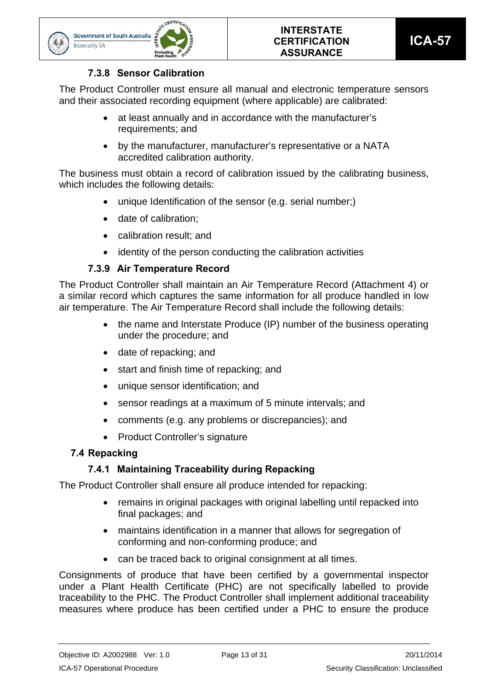



## **7.3.8 Sensor Calibration**

The Product Controller must ensure all manual and electronic temperature sensors and their associated recording equipment (where applicable) are calibrated:

- at least annually and in accordance with the manufacturer's requirements; and
- by the manufacturer, manufacturer's representative or a NATA accredited calibration authority.

The business must obtain a record of calibration issued by the calibrating business, which includes the following details:

- unique Identification of the sensor (e.g. serial number;)
- date of calibration:
- calibration result; and
- identity of the person conducting the calibration activities

## **7.3.9 Air Temperature Record**

The Product Controller shall maintain an Air Temperature Record (Attachment 4) or a similar record which captures the same information for all produce handled in low air temperature. The Air Temperature Record shall include the following details:

- the name and Interstate Produce (IP) number of the business operating under the procedure; and
- date of repacking; and
- start and finish time of repacking; and
- unique sensor identification; and
- sensor readings at a maximum of 5 minute intervals; and
- comments (e.g. any problems or discrepancies); and
- Product Controller's signature

## **7.4 Repacking**

## **7.4.1 Maintaining Traceability during Repacking**

The Product Controller shall ensure all produce intended for repacking:

- remains in original packages with original labelling until repacked into final packages; and
- maintains identification in a manner that allows for segregation of conforming and non-conforming produce; and
- can be traced back to original consignment at all times.

Consignments of produce that have been certified by a governmental inspector under a Plant Health Certificate (PHC) are not specifically labelled to provide traceability to the PHC. The Product Controller shall implement additional traceability measures where produce has been certified under a PHC to ensure the produce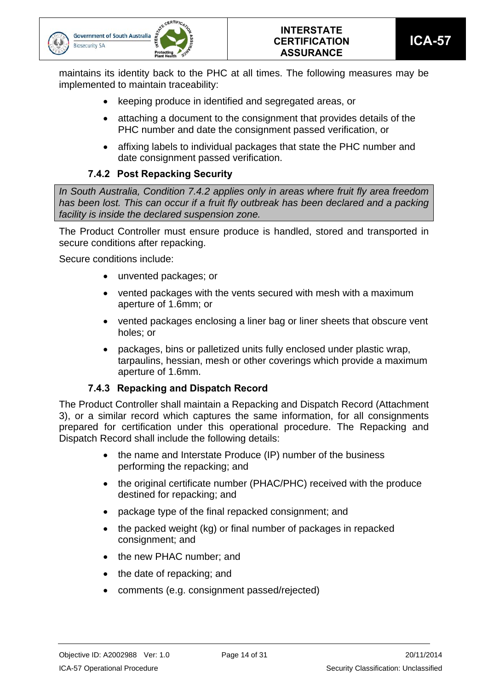

maintains its identity back to the PHC at all times. The following measures may be implemented to maintain traceability:

- keeping produce in identified and segregated areas, or
- attaching a document to the consignment that provides details of the PHC number and date the consignment passed verification, or
- affixing labels to individual packages that state the PHC number and date consignment passed verification.

## **7.4.2 Post Repacking Security**

*In South Australia, Condition 7.4.2 applies only in areas where fruit fly area freedom*  has been lost. This can occur if a fruit fly outbreak has been declared and a packing *facility is inside the declared suspension zone.* 

The Product Controller must ensure produce is handled, stored and transported in secure conditions after repacking.

Secure conditions include:

- unvented packages; or
- vented packages with the vents secured with mesh with a maximum aperture of 1.6mm; or
- vented packages enclosing a liner bag or liner sheets that obscure vent holes; or
- packages, bins or palletized units fully enclosed under plastic wrap, tarpaulins, hessian, mesh or other coverings which provide a maximum aperture of 1.6mm.

## **7.4.3 Repacking and Dispatch Record**

The Product Controller shall maintain a Repacking and Dispatch Record (Attachment 3), or a similar record which captures the same information, for all consignments prepared for certification under this operational procedure. The Repacking and Dispatch Record shall include the following details:

- the name and Interstate Produce (IP) number of the business performing the repacking; and
- the original certificate number (PHAC/PHC) received with the produce destined for repacking; and
- package type of the final repacked consignment; and
- the packed weight (kg) or final number of packages in repacked consignment; and
- the new PHAC number; and
- the date of repacking; and
- comments (e.g. consignment passed/rejected)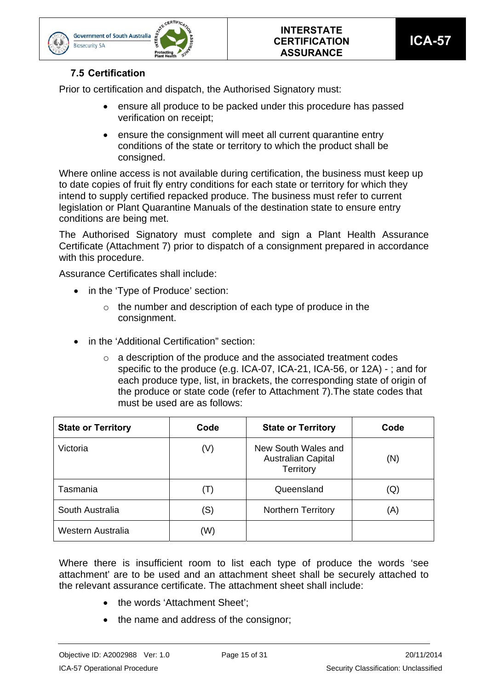



## **7.5 Certification**

**Biosecurity SA** 

Prior to certification and dispatch, the Authorised Signatory must:

- ensure all produce to be packed under this procedure has passed verification on receipt;
- ensure the consignment will meet all current quarantine entry conditions of the state or territory to which the product shall be consigned.

Where online access is not available during certification, the business must keep up to date copies of fruit fly entry conditions for each state or territory for which they intend to supply certified repacked produce. The business must refer to current legislation or Plant Quarantine Manuals of the destination state to ensure entry conditions are being met.

The Authorised Signatory must complete and sign a Plant Health Assurance Certificate (Attachment 7) prior to dispatch of a consignment prepared in accordance with this procedure.

Assurance Certificates shall include:

- in the 'Type of Produce' section:
	- $\circ$  the number and description of each type of produce in the consignment.
- in the 'Additional Certification" section:
	- o a description of the produce and the associated treatment codes specific to the produce (e.g. ICA-07, ICA-21, ICA-56, or 12A) - ; and for each produce type, list, in brackets, the corresponding state of origin of the produce or state code (refer to Attachment 7).The state codes that must be used are as follows:

| <b>State or Territory</b> | Code  | <b>State or Territory</b>                                     | Code |
|---------------------------|-------|---------------------------------------------------------------|------|
| Victoria                  | (V)   | New South Wales and<br><b>Australian Capital</b><br>Territory | (N)  |
| Tasmania                  | ( I ) | Queensland                                                    | (Q)  |
| South Australia           | (S)   | <b>Northern Territory</b>                                     | (A)  |
| Western Australia         | (W)   |                                                               |      |

Where there is insufficient room to list each type of produce the words 'see attachment' are to be used and an attachment sheet shall be securely attached to the relevant assurance certificate. The attachment sheet shall include:

- the words 'Attachment Sheet':
- the name and address of the consignor;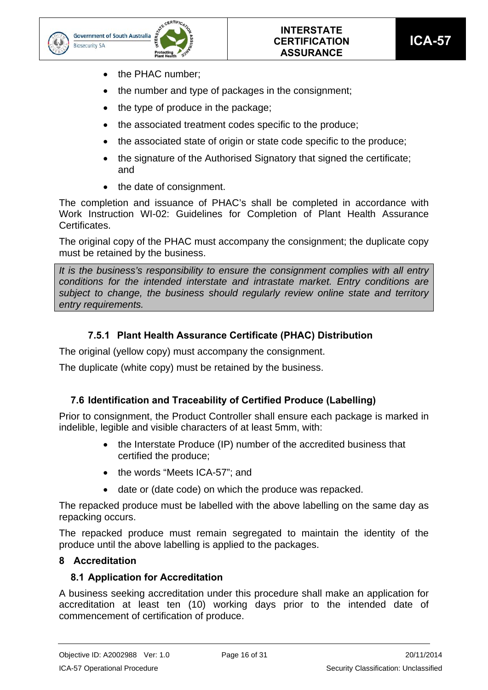



- the PHAC number;
- the number and type of packages in the consignment;
- the type of produce in the package;
- the associated treatment codes specific to the produce:
- the associated state of origin or state code specific to the produce;
- the signature of the Authorised Signatory that signed the certificate; and
- the date of consignment.

The completion and issuance of PHAC's shall be completed in accordance with Work Instruction WI-02: Guidelines for Completion of Plant Health Assurance Certificates.

The original copy of the PHAC must accompany the consignment; the duplicate copy must be retained by the business.

*It is the business's responsibility to ensure the consignment complies with all entry conditions for the intended interstate and intrastate market. Entry conditions are subject to change, the business should regularly review online state and territory entry requirements.* 

## **7.5.1 Plant Health Assurance Certificate (PHAC) Distribution**

The original (yellow copy) must accompany the consignment.

The duplicate (white copy) must be retained by the business.

## **7.6 Identification and Traceability of Certified Produce (Labelling)**

Prior to consignment, the Product Controller shall ensure each package is marked in indelible, legible and visible characters of at least 5mm, with:

- the Interstate Produce (IP) number of the accredited business that certified the produce;
- the words "Meets ICA-57"; and
- date or (date code) on which the produce was repacked.

The repacked produce must be labelled with the above labelling on the same day as repacking occurs.

The repacked produce must remain segregated to maintain the identity of the produce until the above labelling is applied to the packages.

## **8 Accreditation**

## **8.1 Application for Accreditation**

A business seeking accreditation under this procedure shall make an application for accreditation at least ten (10) working days prior to the intended date of commencement of certification of produce.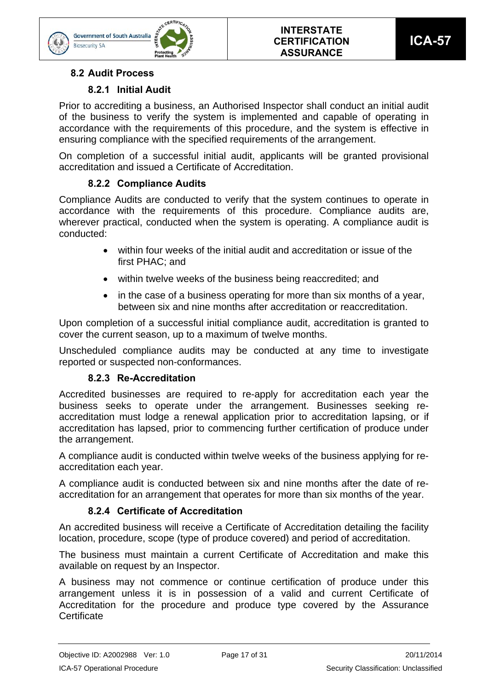



## **8.2 Audit Process**

**Biosecurity SA** 

## **8.2.1 Initial Audit**

Prior to accrediting a business, an Authorised Inspector shall conduct an initial audit of the business to verify the system is implemented and capable of operating in accordance with the requirements of this procedure, and the system is effective in ensuring compliance with the specified requirements of the arrangement.

On completion of a successful initial audit, applicants will be granted provisional accreditation and issued a Certificate of Accreditation.

## **8.2.2 Compliance Audits**

Compliance Audits are conducted to verify that the system continues to operate in accordance with the requirements of this procedure. Compliance audits are, wherever practical, conducted when the system is operating. A compliance audit is conducted:

- within four weeks of the initial audit and accreditation or issue of the first PHAC; and
- within twelve weeks of the business being reaccredited; and
- in the case of a business operating for more than six months of a year, between six and nine months after accreditation or reaccreditation.

Upon completion of a successful initial compliance audit, accreditation is granted to cover the current season, up to a maximum of twelve months.

Unscheduled compliance audits may be conducted at any time to investigate reported or suspected non-conformances.

## **8.2.3 Re-Accreditation**

Accredited businesses are required to re-apply for accreditation each year the business seeks to operate under the arrangement. Businesses seeking reaccreditation must lodge a renewal application prior to accreditation lapsing, or if accreditation has lapsed, prior to commencing further certification of produce under the arrangement.

A compliance audit is conducted within twelve weeks of the business applying for reaccreditation each year.

A compliance audit is conducted between six and nine months after the date of reaccreditation for an arrangement that operates for more than six months of the year.

## **8.2.4 Certificate of Accreditation**

An accredited business will receive a Certificate of Accreditation detailing the facility location, procedure, scope (type of produce covered) and period of accreditation.

The business must maintain a current Certificate of Accreditation and make this available on request by an Inspector.

A business may not commence or continue certification of produce under this arrangement unless it is in possession of a valid and current Certificate of Accreditation for the procedure and produce type covered by the Assurance **Certificate**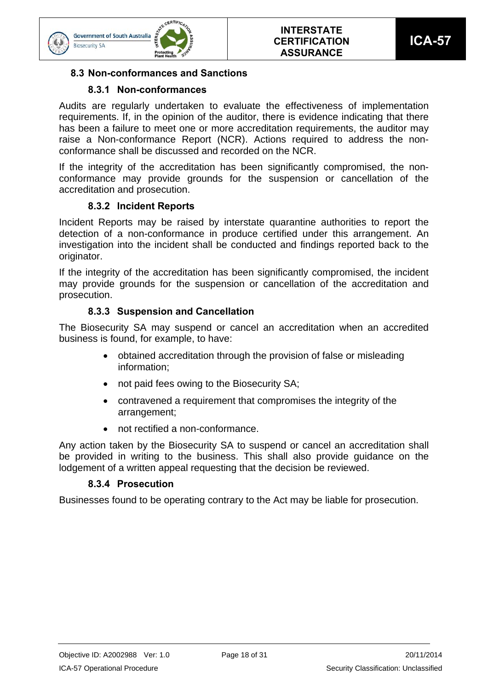



## **8.3 Non-conformances and Sanctions**

## **8.3.1 Non-conformances**

Audits are regularly undertaken to evaluate the effectiveness of implementation requirements. If, in the opinion of the auditor, there is evidence indicating that there has been a failure to meet one or more accreditation requirements, the auditor may raise a Non-conformance Report (NCR). Actions required to address the nonconformance shall be discussed and recorded on the NCR.

If the integrity of the accreditation has been significantly compromised, the nonconformance may provide grounds for the suspension or cancellation of the accreditation and prosecution.

## **8.3.2 Incident Reports**

Incident Reports may be raised by interstate quarantine authorities to report the detection of a non-conformance in produce certified under this arrangement. An investigation into the incident shall be conducted and findings reported back to the originator.

If the integrity of the accreditation has been significantly compromised, the incident may provide grounds for the suspension or cancellation of the accreditation and prosecution.

## **8.3.3 Suspension and Cancellation**

The Biosecurity SA may suspend or cancel an accreditation when an accredited business is found, for example, to have:

- obtained accreditation through the provision of false or misleading information;
- not paid fees owing to the Biosecurity SA;
- contravened a requirement that compromises the integrity of the arrangement;
- not rectified a non-conformance.

Any action taken by the Biosecurity SA to suspend or cancel an accreditation shall be provided in writing to the business. This shall also provide guidance on the lodgement of a written appeal requesting that the decision be reviewed.

## **8.3.4 Prosecution**

Businesses found to be operating contrary to the Act may be liable for prosecution.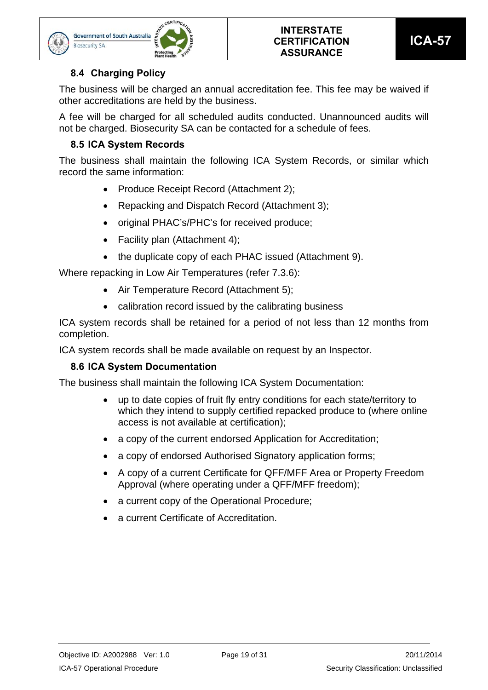



## **8.4 Charging Policy**

The business will be charged an annual accreditation fee. This fee may be waived if other accreditations are held by the business.

A fee will be charged for all scheduled audits conducted. Unannounced audits will not be charged. Biosecurity SA can be contacted for a schedule of fees.

## **8.5 ICA System Records**

The business shall maintain the following ICA System Records, or similar which record the same information:

- Produce Receipt Record (Attachment 2);
- Repacking and Dispatch Record (Attachment 3);
- original PHAC's/PHC's for received produce;
- Facility plan (Attachment 4);
- the duplicate copy of each PHAC issued (Attachment 9).

Where repacking in Low Air Temperatures (refer 7.3.6):

- Air Temperature Record (Attachment 5);
- calibration record issued by the calibrating business

ICA system records shall be retained for a period of not less than 12 months from completion.

ICA system records shall be made available on request by an Inspector.

## **8.6 ICA System Documentation**

The business shall maintain the following ICA System Documentation:

- up to date copies of fruit fly entry conditions for each state/territory to which they intend to supply certified repacked produce to (where online access is not available at certification);
- a copy of the current endorsed Application for Accreditation;
- a copy of endorsed Authorised Signatory application forms;
- A copy of a current Certificate for QFF/MFF Area or Property Freedom Approval (where operating under a QFF/MFF freedom);
- a current copy of the Operational Procedure;
- a current Certificate of Accreditation.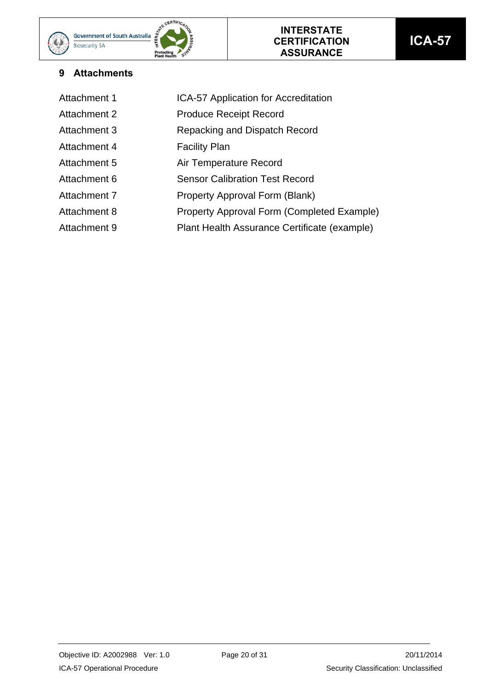

| Attachment 1        | ICA-57 Application for Accreditation         |
|---------------------|----------------------------------------------|
| <b>Attachment 2</b> | <b>Produce Receipt Record</b>                |
| Attachment 3        | Repacking and Dispatch Record                |
| Attachment 4        | <b>Facility Plan</b>                         |
| Attachment 5        | Air Temperature Record                       |
| Attachment 6        | <b>Sensor Calibration Test Record</b>        |
| Attachment 7        | Property Approval Form (Blank)               |
| Attachment 8        | Property Approval Form (Completed Example)   |
| Attachment 9        | Plant Health Assurance Certificate (example) |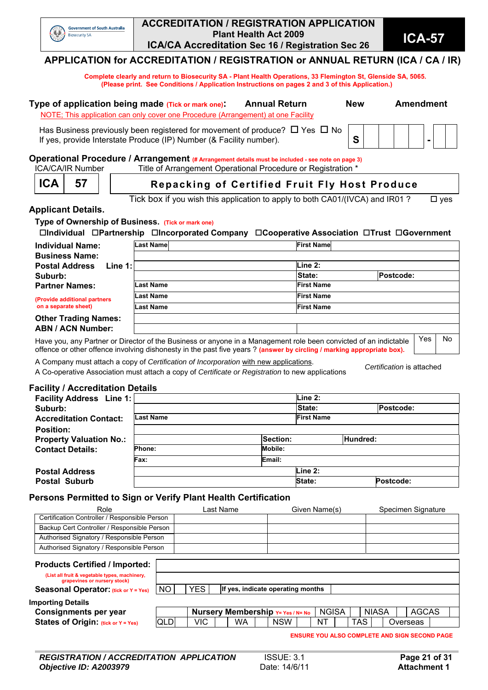

#### **ACCREDITATION / REGISTRATION APPLICATION Plant Health Act 2009 ICA/CA Accreditation Sec 16 / Registration Sec 26 <b>ICA-57**<br>**ICA/CA Accreditation Sec 16 / Registration Sec 26**

**APPLICATION for ACCREDITATION / REGISTRATION or ANNUAL RETURN (ICA / CA / IR)** 

 **Complete clearly and return to Biosecurity SA - Plant Health Operations, 33 Flemington St, Glenside SA, 5065. (Please print. See Conditions / Application Instructions on pages 2 and 3 of this Application.)** 

| Type of application being made (Tick or mark one).                                                                                                                  | <b>Annual Return</b> | <b>New</b> |  | <b>Amendment</b> |  |
|---------------------------------------------------------------------------------------------------------------------------------------------------------------------|----------------------|------------|--|------------------|--|
| NOTE; This application can only cover one Procedure (Arrangement) at one Facility                                                                                   |                      |            |  |                  |  |
| Has Business previously been registered for movement of produce? $\Box$ Yes $\Box$ No $\Box$<br>If yes, provide Interstate Produce (IP) Number (& Facility number). |                      |            |  |                  |  |

# **Operational Procedure / Arrangement (# Arrangement details must be included - see note on page 3)**<br>
ICA/CA/IR Number Title of Arrangement Operational Procedure or Registration \*

Title of Arrangement Operational Procedure or Registration \* **ICA** 57 | Repacking of Certified Fruit Fly Host Produce

Tick box if you wish this application to apply to both CA01/(IVCA) and IR01 ?  $\Box$  yes

#### **Applicant Details.**

**Type of Ownership of Business. (Tick or mark one)**

**Individual Partnership Incorporated Company Cooperative Association Trust Government**

| <b>Individual Name:</b><br><b>Business Name:</b> | Last Namel                                                                                                       | <b>First Name</b> |                  |    |  |  |  |  |
|--------------------------------------------------|------------------------------------------------------------------------------------------------------------------|-------------------|------------------|----|--|--|--|--|
| <b>Postal Address</b><br>Line $1:$               |                                                                                                                  | Line 2:           |                  |    |  |  |  |  |
| Suburb:                                          |                                                                                                                  | State:            | <b>Postcode:</b> |    |  |  |  |  |
| <b>Partner Names:</b>                            | Last Name                                                                                                        | <b>First Name</b> |                  |    |  |  |  |  |
| (Provide additional partners                     | Last Name                                                                                                        | <b>First Name</b> |                  |    |  |  |  |  |
| on a separate sheet)                             | Last Name                                                                                                        | <b>First Name</b> |                  |    |  |  |  |  |
| <b>Other Trading Names:</b>                      |                                                                                                                  |                   |                  |    |  |  |  |  |
| <b>ABN / ACN Number:</b>                         |                                                                                                                  |                   |                  |    |  |  |  |  |
|                                                  | Have you, any Partner or Director of the Business or anyone in a Management role been convicted of an indictable |                   | Yes              | No |  |  |  |  |

Have you, any Partner or Director of the Business or anyone in a Management role been convicted of an indictable offence or other offence involving dishonesty in the past five years ? **(answer by circling / marking appropriate box).**

A Company must attach a copy of *Certification of Incorporation* with new applications.

A Co-operative Association must attach a copy of *Certificate or Registration* to new applications *Certification* is attached

#### **Facility / Accreditation Details**

| <b>Facility Address</b> Line 1: |                  |          | Line 2:           |  |           |  |  |
|---------------------------------|------------------|----------|-------------------|--|-----------|--|--|
| Suburb:                         |                  |          | State:            |  | Postcode: |  |  |
| <b>Accreditation Contact:</b>   | <b>Last Name</b> |          | <b>First Name</b> |  |           |  |  |
| <b>Position:</b>                |                  |          |                   |  |           |  |  |
| <b>Property Valuation No.:</b>  |                  | Section: | Hundred:          |  |           |  |  |
| <b>Contact Details:</b>         | <b>Phone:</b>    |          |                   |  |           |  |  |
|                                 | Fax:             | Email:   |                   |  |           |  |  |
| <b>Postal Address</b>           |                  |          | Line 2:           |  |           |  |  |
| <b>Postal Suburb</b>            |                  |          | State:            |  | Postcode: |  |  |

#### **Persons Permitted to Sign or Verify Plant Health Certification**

| Role                                                                                                                                                           |            |            | Last Name |                                          | Given Name(s) |              |            |              | Specimen Signature                                   |  |
|----------------------------------------------------------------------------------------------------------------------------------------------------------------|------------|------------|-----------|------------------------------------------|---------------|--------------|------------|--------------|------------------------------------------------------|--|
| Certification Controller / Responsible Person                                                                                                                  |            |            |           |                                          |               |              |            |              |                                                      |  |
| Backup Cert Controller / Responsible Person                                                                                                                    |            |            |           |                                          |               |              |            |              |                                                      |  |
| Authorised Signatory / Responsible Person                                                                                                                      |            |            |           |                                          |               |              |            |              |                                                      |  |
| Authorised Signatory / Responsible Person                                                                                                                      |            |            |           |                                          |               |              |            |              |                                                      |  |
| <b>Products Certified / Imported:</b><br>(List all fruit & vegetable types, machinery,<br>grapevines or nursery stock)<br>Seasonal Operator: (tick or Y = Yes) | NO.        | <b>YES</b> |           | If yes, indicate operating months        |               |              |            |              |                                                      |  |
| <b>Importing Details</b>                                                                                                                                       |            |            |           |                                          |               |              |            |              |                                                      |  |
| <b>Consignments per year</b>                                                                                                                                   |            |            |           | <b>Nursery Membership Y= Yes / N= No</b> |               | <b>NGISA</b> |            | <b>NIASA</b> | <b>AGCAS</b>                                         |  |
| States of Origin: (tick or Y = Yes)                                                                                                                            | <b>QLD</b> | VIC        | WA        | <b>NSW</b>                               | NT            |              | <b>TAS</b> |              | Overseas                                             |  |
|                                                                                                                                                                |            |            |           |                                          |               |              |            |              | <b>ENSURE YOU ALSO COMPLETE AND SIGN SECOND PAGE</b> |  |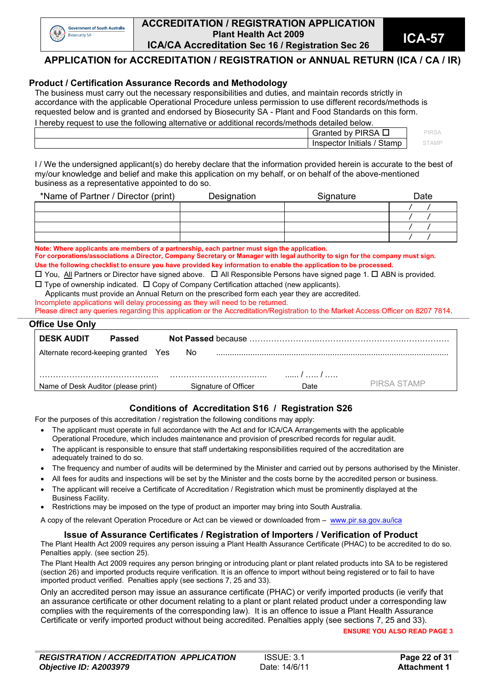

#### **ACCREDITATION / REGISTRATION APPLICATION Plant Health Act 2009 ICA/CA Accreditation Sec 16 / Registration Sec 26 <b>ICA-57**<br>**ICA/CA Accreditation Sec 16 / Registration Sec 26**

## **APPLICATION for ACCREDITATION / REGISTRATION or ANNUAL RETURN (ICA / CA / IR)**

#### **Product / Certification Assurance Records and Methodology**

The business must carry out the necessary responsibilities and duties, and maintain records strictly in accordance with the applicable Operational Procedure unless permission to use different records/methods is requested below and is granted and endorsed by Biosecurity SA - Plant and Food Standards on this form. I hereby request to use the following alternative or additional records/methods detailed below.

| $\alpha$ . There is a contribution of the control of the control of the control of the control of the control of $\alpha$ |                             |             |  |  |
|---------------------------------------------------------------------------------------------------------------------------|-----------------------------|-------------|--|--|
|                                                                                                                           | Granted by PIRSA            | <b>IRSA</b> |  |  |
|                                                                                                                           | Stamp<br>Inspector Initials | STAMF       |  |  |
|                                                                                                                           |                             |             |  |  |

I / We the undersigned applicant(s) do hereby declare that the information provided herein is accurate to the best of my/our knowledge and belief and make this application on my behalf, or on behalf of the above-mentioned business as a representative appointed to do so.

| *Name of Partner / Director (print) | Designation | Signature | Date |
|-------------------------------------|-------------|-----------|------|
|                                     |             |           |      |
|                                     |             |           |      |
|                                     |             |           |      |
|                                     |             |           |      |

**Note: Where applicants are members of a partnership, each partner must sign the application.** 

**For corporations/associations a Director, Company Secretary or Manager with legal authority to sign for the company must sign. Use the following checklist to ensure you have provided key information to enable the application to be processed.** 

 $\Box$  You, All Partners or Director have signed above.  $\Box$  All Responsible Persons have signed page 1.  $\Box$  ABN is provided.  $\square$  Type of ownership indicated.  $\square$  Copy of Company Certification attached (new applicants).

Applicants must provide an Annual Return on the prescribed form each year they are accredited.

Incomplete applications will delay processing as they will need to be returned.

Please direct any queries regarding this application or the Accreditation/Registration to the Market Access Officer on 8207 7814. **\_\_\_\_\_\_\_\_\_\_\_\_\_\_\_\_\_\_\_\_\_\_\_\_\_\_\_\_\_\_\_\_\_\_\_\_\_\_\_\_\_\_\_\_\_\_\_\_\_\_\_\_\_\_\_\_\_\_\_\_\_\_\_\_\_\_\_\_\_\_\_\_\_\_\_\_\_\_\_\_\_\_\_\_\_\_\_\_\_\_\_\_\_\_\_\_\_\_\_\_\_\_\_\_\_\_\_\_\_\_\_\_\_\_\_\_\_\_\_\_\_\_\_\_\_\_\_\_\_\_\_\_\_\_\_\_\_\_\_\_\_\_\_\_\_\_\_\_\_\_\_\_\_\_\_\_\_\_\_\_\_\_\_\_\_\_\_\_\_\_\_\_\_\_\_\_\_\_\_\_\_\_\_\_\_\_\_\_\_\_\_\_\_\_\_\_\_\_\_\_\_\_\_\_\_\_\_\_\_\_\_\_\_\_\_\_\_\_\_\_\_\_\_\_\_\_\_\_\_\_\_\_\_\_\_\_\_\_\_\_\_\_\_\_\_\_\_\_** 

## **Office Use Only**

| <b>DESK AUDIT</b>                    | Passed |                      |            |             |
|--------------------------------------|--------|----------------------|------------|-------------|
| Alternate record-keeping granted Yes |        | No.                  |            |             |
|                                      |        |                      | $\sqrt{1}$ |             |
| Name of Desk Auditor (please print)  |        | Signature of Officer | Date       | PIRSA STAMP |

## **Conditions of Accreditation S16 / Registration S26**

For the purposes of this accreditation / registration the following conditions may apply:

- The applicant must operate in full accordance with the Act and for ICA/CA Arrangements with the applicable Operational Procedure, which includes maintenance and provision of prescribed records for regular audit.
- The applicant is responsible to ensure that staff undertaking responsibilities required of the accreditation are adequately trained to do so.
- The frequency and number of audits will be determined by the Minister and carried out by persons authorised by the Minister.
- All fees for audits and inspections will be set by the Minister and the costs borne by the accredited person or business.
- The applicant will receive a Certificate of Accreditation / Registration which must be prominently displayed at the Business Facility.
- Restrictions may be imposed on the type of product an importer may bring into South Australia.

A copy of the relevant Operation Procedure or Act can be viewed or downloaded from – www.pir.sa.gov.au/ica

#### **Issue of Assurance Certificates / Registration of Importers / Verification of Product**

The Plant Health Act 2009 requires any person issuing a Plant Health Assurance Certificate (PHAC) to be accredited to do so. Penalties apply. (see section 25).

The Plant Health Act 2009 requires any person bringing or introducing plant or plant related products into SA to be registered (section 26) and imported products require verification. It is an offence to import without being registered or to fail to have imported product verified. Penalties apply (see sections 7, 25 and 33).

Only an accredited person may issue an assurance certificate (PHAC) or verify imported products (ie verify that an assurance certificate or other document relating to a plant or plant related product under a corresponding law complies with the requirements of the corresponding law). It is an offence to issue a Plant Health Assurance Certificate or verify imported product without being accredited. Penalties apply (see sections 7, 25 and 33).

**ENSURE YOU ALSO READ PAGE 3**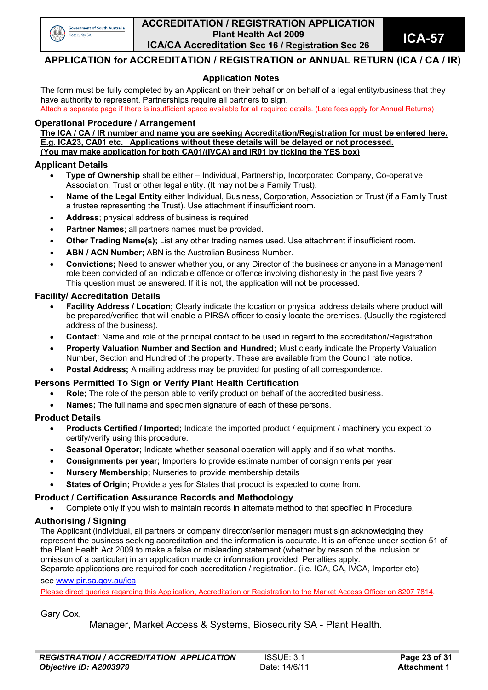

#### **ACCREDITATION / REGISTRATION APPLICATION Plant Health Act 2009 ICA/CA Accreditation Sec 16 / Registration Sec 26 <b>ICA-57**<br>**ICA/CA Accreditation Sec 16 / Registration Sec 26**

## **APPLICATION for ACCREDITATION / REGISTRATION or ANNUAL RETURN (ICA / CA / IR)**

#### **Application Notes**

The form must be fully completed by an Applicant on their behalf or on behalf of a legal entity/business that they have authority to represent. Partnerships require all partners to sign. Attach a separate page if there is insufficient space available for all required details. (Late fees apply for Annual Returns)

#### **Operational Procedure / Arrangement**

**The ICA / CA / IR number and name you are seeking Accreditation/Registration for must be entered here. E.g. ICA23, CA01 etc. Applications without these details will be delayed or not processed. (You may make application for both CA01/(IVCA) and IR01 by ticking the YES box)** 

#### **Applicant Details**

- **Type of Ownership** shall be either Individual, Partnership, Incorporated Company, Co-operative Association, Trust or other legal entity. (It may not be a Family Trust).
- **Name of the Legal Entity** either Individual, Business, Corporation, Association or Trust (if a Family Trust a trustee representing the Trust). Use attachment if insufficient room.
- **Address**; physical address of business is required
- **Partner Names**; all partners names must be provided.
- **Other Trading Name(s);** List any other trading names used. Use attachment if insufficient room**.**
- **ABN / ACN Number;** ABN is the Australian Business Number.
- **Convictions;** Need to answer whether you, or any Director of the business or anyone in a Management role been convicted of an indictable offence or offence involving dishonesty in the past five years ? This question must be answered. If it is not, the application will not be processed.

#### **Facility/ Accreditation Details**

- **Facility Address / Location;** Clearly indicate the location or physical address details where product will be prepared/verified that will enable a PIRSA officer to easily locate the premises. (Usually the registered address of the business).
- **Contact:** Name and role of the principal contact to be used in regard to the accreditation/Registration.
- **Property Valuation Number and Section and Hundred;** Must clearly indicate the Property Valuation Number, Section and Hundred of the property. These are available from the Council rate notice.
- **Postal Address;** A mailing address may be provided for posting of all correspondence.

#### **Persons Permitted To Sign or Verify Plant Health Certification**

- **Role;** The role of the person able to verify product on behalf of the accredited business.
- **Names;** The full name and specimen signature of each of these persons.

#### **Product Details**

- **Products Certified / Imported:** Indicate the imported product / equipment / machinery you expect to certify/verify using this procedure.
- **Seasonal Operator;** Indicate whether seasonal operation will apply and if so what months.
- **Consignments per year;** Importers to provide estimate number of consignments per year
- **Nursery Membership;** Nurseries to provide membership details
- **States of Origin;** Provide a yes for States that product is expected to come from.

#### **Product / Certification Assurance Records and Methodology**

Complete only if you wish to maintain records in alternate method to that specified in Procedure.

#### **Authorising / Signing**

The Applicant (individual, all partners or company director/senior manager) must sign acknowledging they represent the business seeking accreditation and the information is accurate. It is an offence under section 51 of the Plant Health Act 2009 to make a false or misleading statement (whether by reason of the inclusion or omission of a particular) in an application made or information provided. Penalties apply. Separate applications are required for each accreditation / registration. (i.e. ICA, CA, IVCA, Importer etc)

#### see www.pir.sa.gov.au/ica

Please direct queries regarding this Application, Accreditation or Registration to the Market Access Officer on 8207 7814.

Gary Cox,

Manager, Market Access & Systems, Biosecurity SA - Plant Health.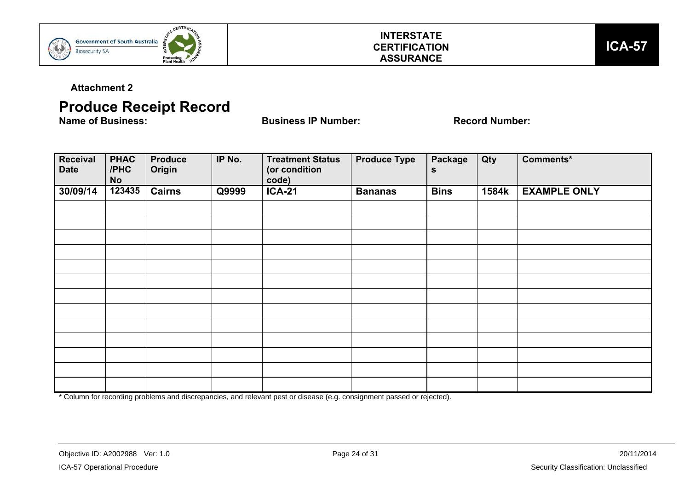



**Attachment 2** 

# **Produce Receipt Record**<br>Name of Business:

**Name of Business IP Number:** Record Number:

| Receival<br><b>Date</b> | <b>PHAC</b><br>/PHC<br><b>No</b> | <b>Produce</b><br>Origin | IP No. | <b>Treatment Status</b><br>(or condition<br>code) | <b>Produce Type</b> | Package<br>S | Qty   | Comments*           |
|-------------------------|----------------------------------|--------------------------|--------|---------------------------------------------------|---------------------|--------------|-------|---------------------|
| 30/09/14                | 123435                           | <b>Cairns</b>            | Q9999  | <b>ICA-21</b>                                     | <b>Bananas</b>      | <b>Bins</b>  | 1584k | <b>EXAMPLE ONLY</b> |
|                         |                                  |                          |        |                                                   |                     |              |       |                     |
|                         |                                  |                          |        |                                                   |                     |              |       |                     |
|                         |                                  |                          |        |                                                   |                     |              |       |                     |
|                         |                                  |                          |        |                                                   |                     |              |       |                     |
|                         |                                  |                          |        |                                                   |                     |              |       |                     |
|                         |                                  |                          |        |                                                   |                     |              |       |                     |
|                         |                                  |                          |        |                                                   |                     |              |       |                     |
|                         |                                  |                          |        |                                                   |                     |              |       |                     |
|                         |                                  |                          |        |                                                   |                     |              |       |                     |
|                         |                                  |                          |        |                                                   |                     |              |       |                     |
|                         |                                  |                          |        |                                                   |                     |              |       |                     |
|                         |                                  |                          |        |                                                   |                     |              |       |                     |
|                         |                                  |                          |        |                                                   |                     |              |       |                     |

\* Column for recording problems and discrepancies, and relevant pest or disease (e.g. consignment passed or rejected).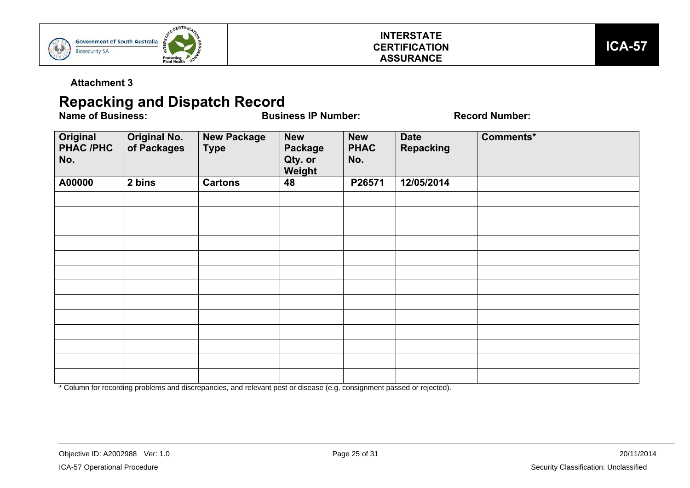



**Attachment 3** 

# **Repacking and Dispatch Record**<br>**Name of Business:**

**Name of Business IP Number:** Record Number:

| Original<br><b>PHAC /PHC</b><br>No. | <b>Original No.</b><br>of Packages | <b>New Package</b><br><b>Type</b> | <b>New</b><br><b>Package</b><br>Qty. or<br>Weight | <b>New</b><br><b>PHAC</b><br>No. | <b>Date</b><br><b>Repacking</b> | Comments* |
|-------------------------------------|------------------------------------|-----------------------------------|---------------------------------------------------|----------------------------------|---------------------------------|-----------|
| A00000                              | 2 bins                             | <b>Cartons</b>                    | 48                                                | P26571                           | 12/05/2014                      |           |
|                                     |                                    |                                   |                                                   |                                  |                                 |           |
|                                     |                                    |                                   |                                                   |                                  |                                 |           |
|                                     |                                    |                                   |                                                   |                                  |                                 |           |
|                                     |                                    |                                   |                                                   |                                  |                                 |           |
|                                     |                                    |                                   |                                                   |                                  |                                 |           |
|                                     |                                    |                                   |                                                   |                                  |                                 |           |
|                                     |                                    |                                   |                                                   |                                  |                                 |           |
|                                     |                                    |                                   |                                                   |                                  |                                 |           |
|                                     |                                    |                                   |                                                   |                                  |                                 |           |
|                                     |                                    |                                   |                                                   |                                  |                                 |           |
|                                     |                                    |                                   |                                                   |                                  |                                 |           |
|                                     |                                    |                                   |                                                   |                                  |                                 |           |
|                                     |                                    |                                   |                                                   |                                  |                                 |           |

\* Column for recording problems and discrepancies, and relevant pest or disease (e.g. consignment passed or rejected).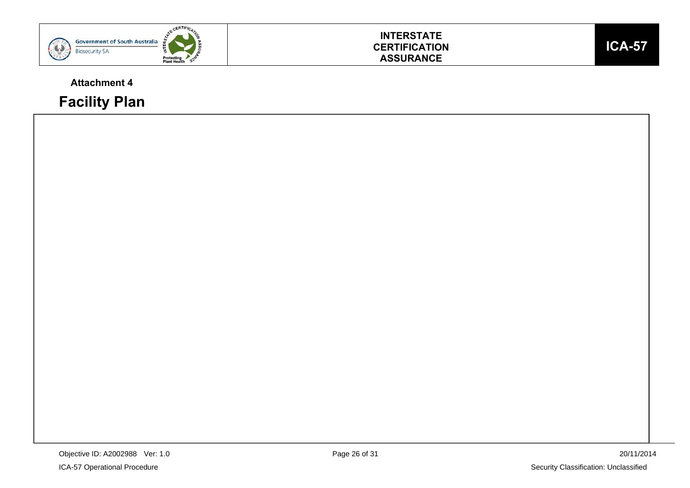

## **INTERSTATE CERTIFICATION ASSURANCE**

## **Attachment 4**

**Facility Plan** 

**ICA-57**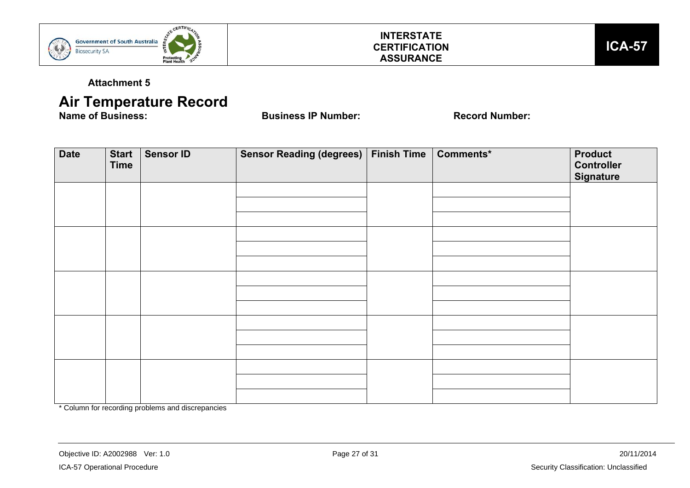

## **INTERSTATE CERTIFICATION ASSURANCE**



**Attachment 5** 

# **Air Temperature Record**<br>Name of Business:

**Name of Business IP Number:** Record Number:

| <b>Date</b> | <b>Start</b><br><b>Time</b> | <b>Sensor ID</b> | Sensor Reading (degrees)   Finish Time   Comments* |  | <b>Product</b><br><b>Controller</b><br><b>Signature</b> |
|-------------|-----------------------------|------------------|----------------------------------------------------|--|---------------------------------------------------------|
|             |                             |                  |                                                    |  |                                                         |
|             |                             |                  |                                                    |  |                                                         |
|             |                             |                  |                                                    |  |                                                         |
|             |                             |                  |                                                    |  |                                                         |
|             |                             |                  |                                                    |  |                                                         |
|             |                             |                  |                                                    |  |                                                         |
|             |                             |                  |                                                    |  |                                                         |

\* Column for recording problems and discrepancies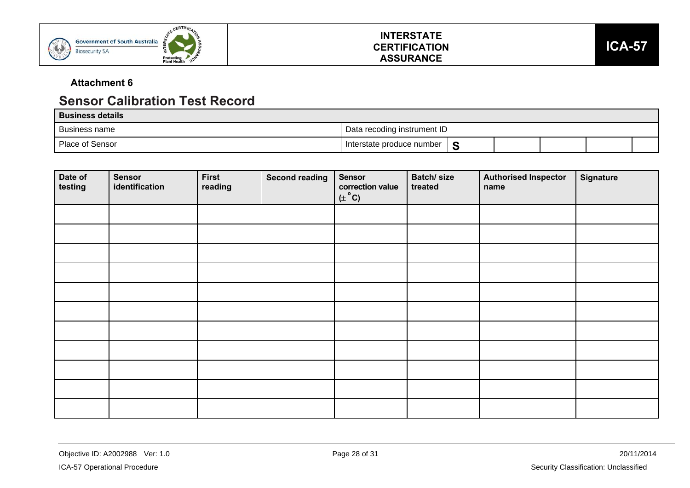





## **Attachment 6**

## **Sensor Calibration Test Record**

| <b>Business details</b> |                                |  |  |  |
|-------------------------|--------------------------------|--|--|--|
| Business name           | Data recoding instrument ID    |  |  |  |
| Place of Sensor         | Interstate produce number<br>S |  |  |  |

| Date of<br>testing | <b>Sensor</b><br>identification | <b>First</b><br>reading | <b>Second reading</b> | <b>Sensor</b><br>correction value<br>$(\pm$ °C) | Batch/size<br>treated | <b>Authorised Inspector</b><br>name | <b>Signature</b> |
|--------------------|---------------------------------|-------------------------|-----------------------|-------------------------------------------------|-----------------------|-------------------------------------|------------------|
|                    |                                 |                         |                       |                                                 |                       |                                     |                  |
|                    |                                 |                         |                       |                                                 |                       |                                     |                  |
|                    |                                 |                         |                       |                                                 |                       |                                     |                  |
|                    |                                 |                         |                       |                                                 |                       |                                     |                  |
|                    |                                 |                         |                       |                                                 |                       |                                     |                  |
|                    |                                 |                         |                       |                                                 |                       |                                     |                  |
|                    |                                 |                         |                       |                                                 |                       |                                     |                  |
|                    |                                 |                         |                       |                                                 |                       |                                     |                  |
|                    |                                 |                         |                       |                                                 |                       |                                     |                  |
|                    |                                 |                         |                       |                                                 |                       |                                     |                  |
|                    |                                 |                         |                       |                                                 |                       |                                     |                  |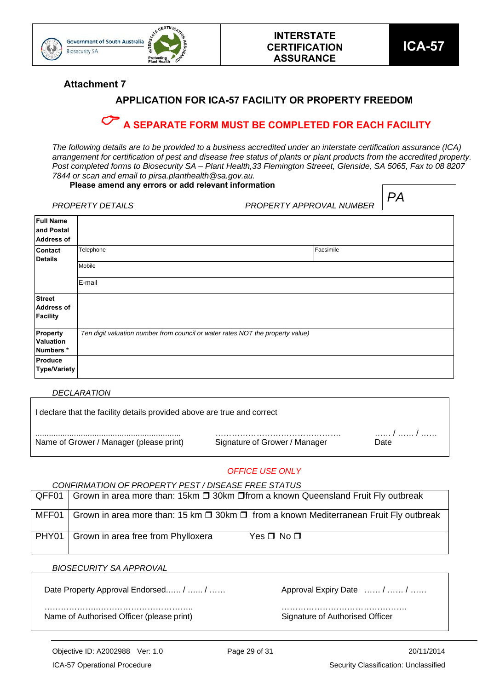

**Attachment 7** 

## **APPLICATION FOR ICA-57 FACILITY OR PROPERTY FREEDOM**

## **A SEPARATE FORM MUST BE COMPLETED FOR EACH FACILITY**

*The following details are to be provided to a business accredited under an interstate certification assurance (ICA) arrangement for certification of pest and disease free status of plants or plant products from the accredited property. Post completed forms to Biosecurity SA – Plant Health,33 Flemington Streeet, Glenside, SA 5065, Fax to 08 8207 7844 or scan and email to pirsa.planthealth@sa.gov.au.* 

#### **Please amend any errors or add relevant information**

|                                                       | <b>Thease amena any cribis or add relevant information</b>                     |                          |  |    |  |  |
|-------------------------------------------------------|--------------------------------------------------------------------------------|--------------------------|--|----|--|--|
|                                                       | <b>PROPERTY DETAILS</b>                                                        | PROPERTY APPROVAL NUMBER |  | PA |  |  |
| <b>Full Name</b><br>and Postal<br><b>Address of</b>   |                                                                                |                          |  |    |  |  |
| <b>Contact</b><br><b>Details</b>                      | Telephone                                                                      | Facsimile                |  |    |  |  |
|                                                       | Mobile                                                                         |                          |  |    |  |  |
|                                                       | E-mail                                                                         |                          |  |    |  |  |
| <b>Street</b><br><b>Address of</b><br><b>Facility</b> |                                                                                |                          |  |    |  |  |
| Property<br>Valuation<br>Numbers*                     | Ten digit valuation number from council or water rates NOT the property value) |                          |  |    |  |  |
| Produce<br>Type/Variety                               |                                                                                |                          |  |    |  |  |

#### *DECLARATION*

| Date                          |
|-------------------------------|
| Signature of Grower / Manager |

#### *OFFICE USE ONLY*

*CONFIRMATION OF PROPERTY PEST / DISEASE FREE STATUS* 

| QFF01   Grown in area more than: 15km □ 30km □ from a known Queensland Fruit Fly outbreak               |
|---------------------------------------------------------------------------------------------------------|
| MFF01   Grown in area more than: 15 km $\Box$ 30km $\Box$ from a known Mediterranean Fruit Fly outbreak |
| PHY01   Grown in area free from Phylloxera<br>$Yes \Box No \Box$                                        |

#### *BIOSECURITY SA APPROVAL*

Date Property Approval Endorsed...... / …… / ……

| Approval Expiry Date  /  / |  |
|----------------------------|--|
| .                          |  |

………………..…………………………….. ………………………………………. Name of Authorised Officer (please print) Signature of Authorised Officer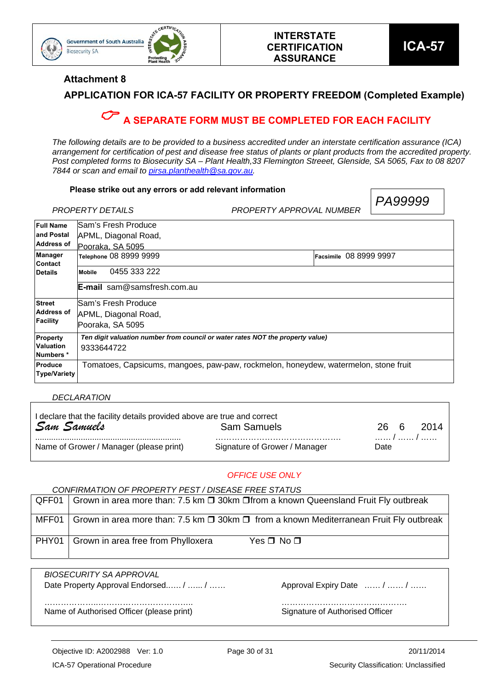

*PA99999* 

#### **Attachment 8**

## **APPLICATION FOR ICA-57 FACILITY OR PROPERTY FREEDOM (Completed Example)**

## **A SEPARATE FORM MUST BE COMPLETED FOR EACH FACILITY**

*The following details are to be provided to a business accredited under an interstate certification assurance (ICA) arrangement for certification of pest and disease free status of plants or plant products from the accredited property. Post completed forms to Biosecurity SA – Plant Health,33 Flemington Streeet, Glenside, SA 5065, Fax to 08 8207 7844 or scan and email to pirsa.planthealth@sa.gov.au.* 

#### **Please strike out any errors or add relevant information**

|                                  | PROPERTY DETAILS                                                               | <i>1 F</i> IUUUU<br>PROPERTY APPROVAL NUMBER                                        |
|----------------------------------|--------------------------------------------------------------------------------|-------------------------------------------------------------------------------------|
| <b>Full Name</b>                 | Sam's Fresh Produce                                                            |                                                                                     |
| land Postal                      | APML, Diagonal Road,                                                           |                                                                                     |
| Address of                       | Pooraka, SA 5095                                                               |                                                                                     |
| <b>Manager</b><br><b>Contact</b> | Telephone 08 8999 9999                                                         | <b>Facsimile 08 8999 9997</b>                                                       |
| <b>Details</b>                   | 0455 333 222<br><b>Mobile</b>                                                  |                                                                                     |
|                                  | <b>E-mail</b> sam@samsfresh.com.au                                             |                                                                                     |
| <b>Street</b>                    | Sam's Fresh Produce                                                            |                                                                                     |
| Address of                       | APML, Diagonal Road,                                                           |                                                                                     |
| Facility                         | Pooraka, SA 5095                                                               |                                                                                     |
| <b>Property</b>                  | Ten digit valuation number from council or water rates NOT the property value) |                                                                                     |
| <b>Valuation</b>                 | 9333644722                                                                     |                                                                                     |
| Numbers *                        |                                                                                |                                                                                     |
| <b>Produce</b>                   |                                                                                | Tomatoes, Capsicums, mangoes, paw-paw, rockmelon, honeydew, watermelon, stone fruit |
| <b>Type/Variety</b>              |                                                                                |                                                                                     |

#### *DECLARATION*

| I declare that the facility details provided above are true and correct |                               |      |  |       |  |  |  |  |  |
|-------------------------------------------------------------------------|-------------------------------|------|--|-------|--|--|--|--|--|
| Sam Samuels                                                             | <b>Sam Samuels</b>            | 26 6 |  | -2014 |  |  |  |  |  |
| Name of Grower / Manager (please print)                                 | Signature of Grower / Manager | Date |  |       |  |  |  |  |  |

#### *OFFICE USE ONLY*

*CONFIRMATION OF PROPERTY PEST / DISEASE FREE STATUS* 

| $QFF01$ Grown in area more than: 7.5 km $\square$ 30km $\square$ from a known Queensland Fruit Fly outbreak |
|-------------------------------------------------------------------------------------------------------------|
| MFF01   Grown in area more than: 7.5 km $\Box$ 30km $\Box$ from a known Mediterranean Fruit Fly outbreak    |
| PHY01   Grown in area free from Phylloxera<br>Yes Π No Π                                                    |

*BIOSECURITY SA APPROVAL* Date Property Approval Endorsed...... / …… / …… Approval Expiry Date …… / …… / ……

………………..…………………………….. ………………………………………. Name of Authorised Officer (please print) Signature of Authorised Officer